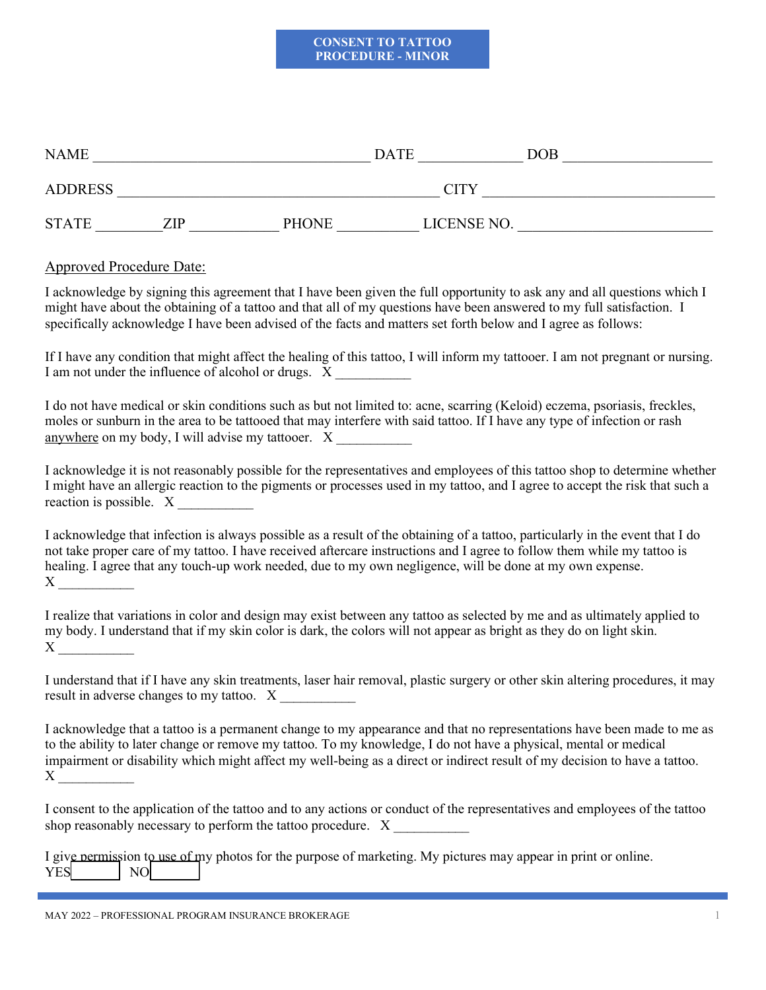## **CONSENT TO TATTOO PROCEDURE - MINOR**

| <b>NAME</b>    |     |              | <b>DATE</b> | $\rm{DOB}$ |
|----------------|-----|--------------|-------------|------------|
| <b>ADDRESS</b> |     |              | <b>CITY</b> |            |
| <b>STATE</b>   | ZIP | <b>PHONE</b> | LICENSE NO. |            |

## Approved Procedure Date:

I acknowledge by signing this agreement that I have been given the full opportunity to ask any and all questions which I might have about the obtaining of a tattoo and that all of my questions have been answered to my full satisfaction. I specifically acknowledge I have been advised of the facts and matters set forth below and I agree as follows:

If I have any condition that might affect the healing of this tattoo, I will inform my tattooer. I am not pregnant or nursing. I am not under the influence of alcohol or drugs. X

I do not have medical or skin conditions such as but not limited to: acne, scarring (Keloid) eczema, psoriasis, freckles, moles or sunburn in the area to be tattooed that may interfere with said tattoo. If I have any type of infection or rash anywhere on my body, I will advise my tattooer. X

I acknowledge it is not reasonably possible for the representatives and employees of this tattoo shop to determine whether I might have an allergic reaction to the pigments or processes used in my tattoo, and I agree to accept the risk that such a reaction is possible. X

I acknowledge that infection is always possible as a result of the obtaining of a tattoo, particularly in the event that I do not take proper care of my tattoo. I have received aftercare instructions and I agree to follow them while my tattoo is healing. I agree that any touch-up work needed, due to my own negligence, will be done at my own expense.  $X \sim$ 

I realize that variations in color and design may exist between any tattoo as selected by me and as ultimately applied to my body. I understand that if my skin color is dark, the colors will not appear as bright as they do on light skin.  $X \sim$ 

I understand that if I have any skin treatments, laser hair removal, plastic surgery or other skin altering procedures, it may result in adverse changes to my tattoo. X

I acknowledge that a tattoo is a permanent change to my appearance and that no representations have been made to me as to the ability to later change or remove my tattoo. To my knowledge, I do not have a physical, mental or medical impairment or disability which might affect my well-being as a direct or indirect result of my decision to have a tattoo.  $X \sim$ 

I consent to the application of the tattoo and to any actions or conduct of the representatives and employees of the tattoo shop reasonably necessary to perform the tattoo procedure. X

|            |                |  |  | I give nermission to use of my photos for the purpose of marketing. My pictures may appear in print or online. |  |  |
|------------|----------------|--|--|----------------------------------------------------------------------------------------------------------------|--|--|
| <b>YES</b> | $\overline{N}$ |  |  |                                                                                                                |  |  |